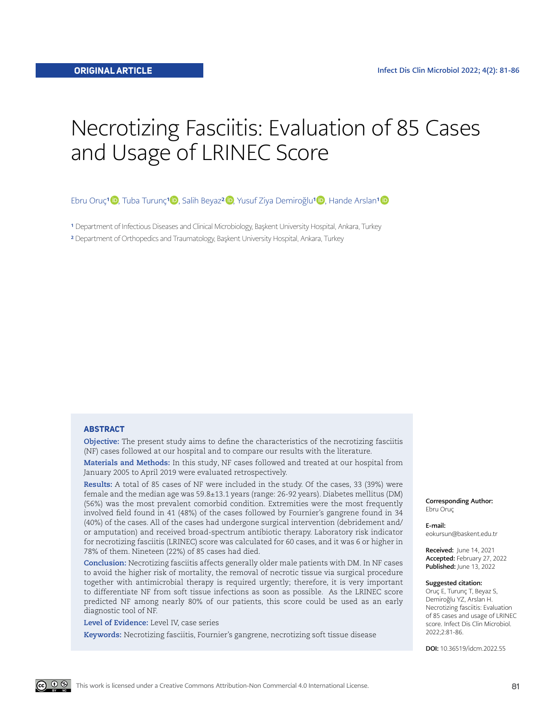# Necrotizing Fasciitis: Evaluation of 85 Cases and Usage of LRINEC Score

Ebru Oruç<sup>1</sup> [,](https://orcid.org/0000-0002-5788-5116) Tuba Turunç<sup>[1](https://orcid.org/0000-0002-9866-2197) (D</sup>), Salih Beyaz<sup>2</sup> D, Yusuf Ziya Demiroğlu<sup>[1](https://orcid.org/0000-0003-0344-2712) (D</sup>), Hande Arslan<sup>1</sup> D

<sup>1</sup> Department of Infectious Diseases and Clinical Microbiology, Baskent University Hospital, Ankara, Turkey

2 Department of Orthopedics and Traumatology, Başkent University Hospital, Ankara, Turkey

#### **ABSTRACT**

**Objective:** The present study aims to define the characteristics of the necrotizing fasciitis (NF) cases followed at our hospital and to compare our results with the literature.

**Materials and Methods:** In this study, NF cases followed and treated at our hospital from January 2005 to April 2019 were evaluated retrospectively.

**Results:** A total of 85 cases of NF were included in the study. Of the cases, 33 (39%) were female and the median age was 59.8±13.1 years (range: 26-92 years). Diabetes mellitus (DM) (56%) was the most prevalent comorbid condition. Extremities were the most frequently involved field found in 41 (48%) of the cases followed by Fournier's gangrene found in 34 (40%) of the cases. All of the cases had undergone surgical intervention (debridement and/ or amputation) and received broad-spectrum antibiotic therapy. Laboratory risk indicator for necrotizing fasciitis (LRINEC) score was calculated for 60 cases, and it was 6 or higher in 78% of them. Nineteen (22%) of 85 cases had died.

**Conclusion:** Necrotizing fasciitis affects generally older male patients with DM. In NF cases to avoid the higher risk of mortality, the removal of necrotic tissue via surgical procedure together with antimicrobial therapy is required urgently; therefore, it is very important to differentiate NF from soft tissue infections as soon as possible. As the LRINEC score predicted NF among nearly 80% of our patients, this score could be used as an early diagnostic tool of NF.

**Level of Evidence:** Level IV, case series

**Keywords:** Necrotizing fasciitis, Fournier's gangrene, necrotizing soft tissue disease

Corresponding Author: Ebru Oruç

E-mail: eokursun@baskent.edu.tr

Received: June 14, 2021 Accepted: February 27, 2022 Published: June 13, 2022

#### Suggested citation:

Oruç E, Turunç T, Beyaz S, Demiroğlu YZ, Arslan H. Necrotizing fasciitis: Evaluation of 85 cases and usage of LRINEC score. Infect Dis Clin Microbiol. 2022;2:81-86.

DOI: 10.36519/idcm.2022.55

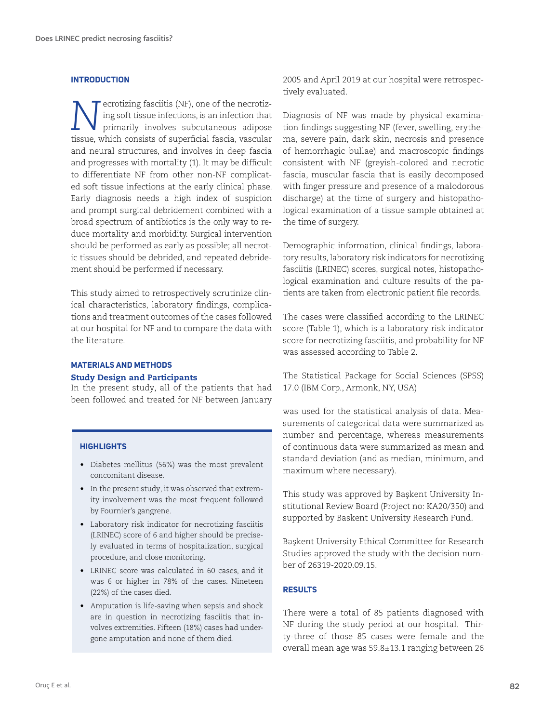#### **INTRODUCTION**

*N*ecrotizing fasciitis (NF), one of the necrotizing soft tissue infections, is an infection that primarily involves subcutaneous adipose ing soft tissue infections, is an infection that primarily involves subcutaneous adipose tissue, which consists of superficial fascia, vascular and neural structures, and involves in deep fascia and progresses with mortality (1). It may be difficult to differentiate NF from other non-NF complicated soft tissue infections at the early clinical phase. Early diagnosis needs a high index of suspicion and prompt surgical debridement combined with a broad spectrum of antibiotics is the only way to reduce mortality and morbidity. Surgical intervention should be performed as early as possible; all necrotic tissues should be debrided, and repeated debridement should be performed if necessary.

This study aimed to retrospectively scrutinize clinical characteristics, laboratory findings, complications and treatment outcomes of the cases followed at our hospital for NF and to compare the data with the literature.

# **MATERIALS AND METHODS**

#### Study Design and Participants

In the present study, all of the patients that had been followed and treated for NF between January

#### **HIGHLIGHTS**

- Diabetes mellitus (56%) was the most prevalent concomitant disease.
- In the present study, it was observed that extremity involvement was the most frequent followed by Fournier's gangrene.
- Laboratory risk indicator for necrotizing fasciitis (LRINEC) score of 6 and higher should be precisely evaluated in terms of hospitalization, surgical procedure, and close monitoring.
- LRINEC score was calculated in 60 cases, and it was 6 or higher in 78% of the cases. Nineteen (22%) of the cases died.
- Amputation is life-saving when sepsis and shock are in question in necrotizing fasciitis that involves extremities. Fifteen (18%) cases had undergone amputation and none of them died.

2005 and April 2019 at our hospital were retrospectively evaluated.

Diagnosis of NF was made by physical examination findings suggesting NF (fever, swelling, erythema, severe pain, dark skin, necrosis and presence of hemorrhagic bullae) and macroscopic findings consistent with NF (greyish-colored and necrotic fascia, muscular fascia that is easily decomposed with finger pressure and presence of a malodorous discharge) at the time of surgery and histopathological examination of a tissue sample obtained at the time of surgery.

Demographic information, clinical findings, laboratory results, laboratory risk indicators for necrotizing fasciitis (LRINEC) scores, surgical notes, histopathological examination and culture results of the patients are taken from electronic patient file records.

The cases were classified according to the LRINEC score (Table 1), which is a laboratory risk indicator score for necrotizing fasciitis, and probability for NF was assessed according to Table 2.

The Statistical Package for Social Sciences (SPSS) 17.0 (IBM Corp., Armonk, NY, USA)

was used for the statistical analysis of data. Measurements of categorical data were summarized as number and percentage, whereas measurements of continuous data were summarized as mean and standard deviation (and as median, minimum, and maximum where necessary).

This study was approved by Başkent University Institutional Review Board (Project no: KA20/350) and supported by Baskent University Research Fund.

Başkent University Ethical Committee for Research Studies approved the study with the decision number of 26319-2020.09.15.

## **RESULTS**

There were a total of 85 patients diagnosed with NF during the study period at our hospital. Thirty-three of those 85 cases were female and the overall mean age was 59.8±13.1 ranging between 26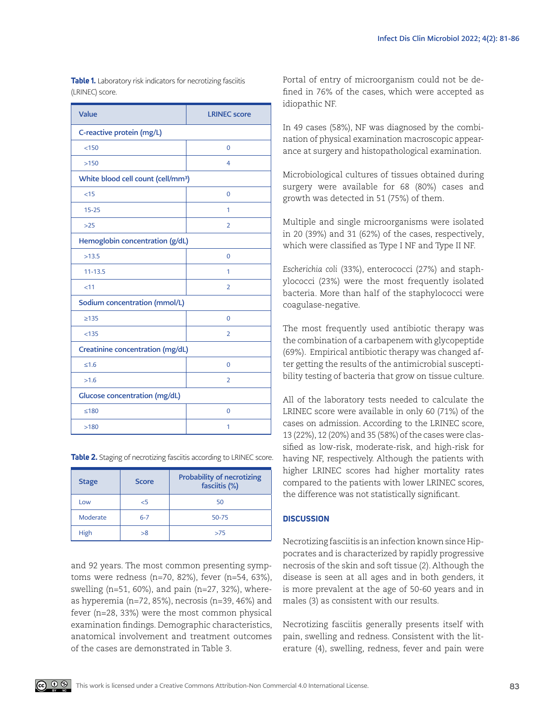| Value                                          | <b>LRINEC</b> score |  |
|------------------------------------------------|---------------------|--|
| C-reactive protein (mg/L)                      |                     |  |
| < 150                                          | 0                   |  |
| >150                                           | 4                   |  |
| White blood cell count (cell/mm <sup>3</sup> ) |                     |  |
| <15                                            | 0                   |  |
| $15 - 25$                                      | 1                   |  |
| $>25$                                          | $\overline{2}$      |  |
| Hemoglobin concentration (g/dL)                |                     |  |
| >13.5                                          | $\mathbf 0$         |  |
| $11 - 13.5$                                    | 1                   |  |
| < 11                                           | $\overline{2}$      |  |
| Sodium concentration (mmol/L)                  |                     |  |
| $\geq 135$                                     | 0                   |  |
| < 135                                          | $\overline{2}$      |  |
| Creatinine concentration (mg/dL)               |                     |  |
| ≤1.6                                           | 0                   |  |
| >1.6                                           | 2                   |  |
| <b>Glucose concentration (mg/dL)</b>           |                     |  |
| $≤180$                                         | 0                   |  |
| >180                                           | 1                   |  |

**Table 1.** Laboratory risk indicators for necrotizing fasciitis (LRINEC) score.

**Table 2.** Staging of necrotizing fasciitis according to LRINEC score.

| <b>Stage</b> | Score   | <b>Probability of necrotizing</b><br>fasciitis (%) |
|--------------|---------|----------------------------------------------------|
| Low          | 5>      | 50                                                 |
| Moderate     | $6 - 7$ | 50-75                                              |
| High         | >8      | >75                                                |

and 92 years. The most common presenting symptoms were redness (n=70, 82%), fever (n=54, 63%), swelling (n=51, 60%), and pain (n=27, 32%), whereas hyperemia (n=72, 85%), necrosis (n=39, 46%) and fever (n=28, 33%) were the most common physical examination findings. Demographic characteristics, anatomical involvement and treatment outcomes of the cases are demonstrated in Table 3.

Portal of entry of microorganism could not be defined in 76% of the cases, which were accepted as idiopathic NF.

In 49 cases (58%), NF was diagnosed by the combination of physical examination macroscopic appearance at surgery and histopathological examination.

Microbiological cultures of tissues obtained during surgery were available for 68 (80%) cases and growth was detected in 51 (75%) of them.

Multiple and single microorganisms were isolated in 20 (39%) and 31 (62%) of the cases, respectively, which were classified as Type I NF and Type II NF.

*Escherichia coli* (33%), enterococci (27%) and staphylococci (23%) were the most frequently isolated bacteria. More than half of the staphylococci were coagulase-negative.

The most frequently used antibiotic therapy was the combination of a carbapenem with glycopeptide (69%). Empirical antibiotic therapy was changed after getting the results of the antimicrobial susceptibility testing of bacteria that grow on tissue culture.

All of the laboratory tests needed to calculate the LRINEC score were available in only 60 (71%) of the cases on admission. According to the LRINEC score, 13 (22%), 12 (20%) and 35 (58%) of the cases were classified as low-risk, moderate-risk, and high-risk for having NF, respectively. Although the patients with higher LRINEC scores had higher mortality rates compared to the patients with lower LRINEC scores, the difference was not statistically significant.

### **DISCUSSION**

Necrotizing fasciitis is an infection known since Hippocrates and is characterized by rapidly progressive necrosis of the skin and soft tissue (2). Although the disease is seen at all ages and in both genders, it is more prevalent at the age of 50-60 years and in males (3) as consistent with our results.

Necrotizing fasciitis generally presents itself with pain, swelling and redness. Consistent with the literature (4), swelling, redness, fever and pain were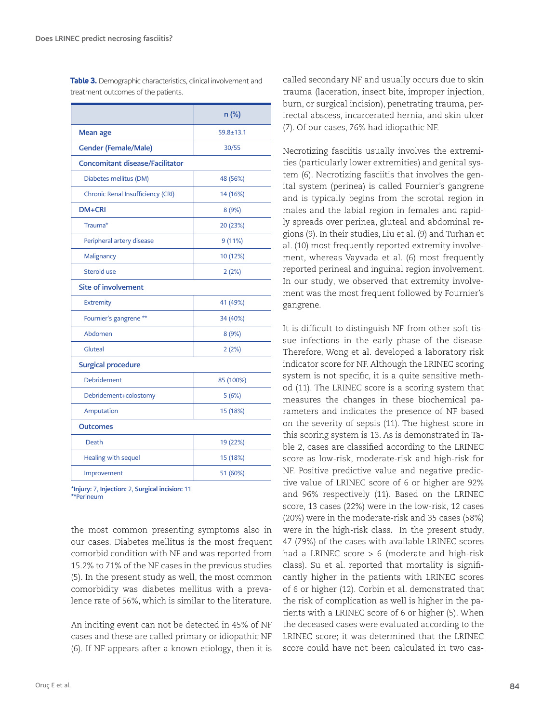|                                        | n (%)           |  |  |
|----------------------------------------|-----------------|--|--|
| Mean age                               | $59.8 \pm 13.1$ |  |  |
| <b>Gender (Female/Male)</b>            | 30/55           |  |  |
| <b>Concomitant disease/Facilitator</b> |                 |  |  |
| Diabetes mellitus (DM)                 | 48 (56%)        |  |  |
| Chronic Renal Insufficiency (CRI)      | 14 (16%)        |  |  |
| DM+CRI                                 | 8(9%)           |  |  |
| Trauma*                                | 20 (23%)        |  |  |
| Peripheral artery disease              | 9(11%)          |  |  |
| Malignancy                             | 10 (12%)        |  |  |
| Steroid use                            | 2(2%)           |  |  |
| <b>Site of involvement</b>             |                 |  |  |
| Extremity                              | 41 (49%)        |  |  |
| Fournier's gangrene **                 | 34 (40%)        |  |  |
| Abdomen                                | 8(9%)           |  |  |
| Gluteal                                | 2(2%)           |  |  |
| <b>Surgical procedure</b>              |                 |  |  |
| <b>Debridement</b>                     | 85 (100%)       |  |  |
| Debridement+colostomy                  | 5(6%)           |  |  |
| Amputation                             | 15 (18%)        |  |  |
| <b>Outcomes</b>                        |                 |  |  |
| Death                                  | 19 (22%)        |  |  |
| Healing with sequel                    | 15 (18%)        |  |  |
| Improvement                            | 51 (60%)        |  |  |

**Table 3.** Demographic characteristics, clinical involvement and treatment outcomes of the patients.

\*Injury: 7, Injection: 2, Surgical incision: 11 \*\*Perineum

the most common presenting symptoms also in our cases. Diabetes mellitus is the most frequent comorbid condition with NF and was reported from 15.2% to 71% of the NF cases in the previous studies (5). In the present study as well, the most common comorbidity was diabetes mellitus with a prevalence rate of 56%, which is similar to the literature.

An inciting event can not be detected in 45% of NF cases and these are called primary or idiopathic NF (6). If NF appears after a known etiology, then it is called secondary NF and usually occurs due to skin trauma (laceration, insect bite, improper injection, burn, or surgical incision), penetrating trauma, perirectal abscess, incarcerated hernia, and skin ulcer (7). Of our cases, 76% had idiopathic NF.

Necrotizing fasciitis usually involves the extremities (particularly lower extremities) and genital system (6). Necrotizing fasciitis that involves the genital system (perinea) is called Fournier's gangrene and is typically begins from the scrotal region in males and the labial region in females and rapidly spreads over perinea, gluteal and abdominal regions (9). In their studies, Liu et al. (9) and Turhan et al. (10) most frequently reported extremity involvement, whereas Vayvada et al. (6) most frequently reported perineal and inguinal region involvement. In our study, we observed that extremity involvement was the most frequent followed by Fournier's gangrene.

It is difficult to distinguish NF from other soft tissue infections in the early phase of the disease. Therefore, Wong et al. developed a laboratory risk indicator score for NF. Although the LRINEC scoring system is not specific, it is a quite sensitive method (11). The LRINEC score is a scoring system that measures the changes in these biochemical parameters and indicates the presence of NF based on the severity of sepsis (11). The highest score in this scoring system is 13. As is demonstrated in Table 2, cases are classified according to the LRINEC score as low-risk, moderate-risk and high-risk for NF. Positive predictive value and negative predictive value of LRINEC score of 6 or higher are 92% and 96% respectively (11). Based on the LRINEC score, 13 cases (22%) were in the low-risk, 12 cases (20%) were in the moderate-risk and 35 cases (58%) were in the high-risk class. In the present study, 47 (79%) of the cases with available LRINEC scores had a LRINEC score  $> 6$  (moderate and high-risk class). Su et al. reported that mortality is significantly higher in the patients with LRINEC scores of 6 or higher (12). Corbin et al. demonstrated that the risk of complication as well is higher in the patients with a LRINEC score of 6 or higher (5). When the deceased cases were evaluated according to the LRINEC score; it was determined that the LRINEC score could have not been calculated in two cas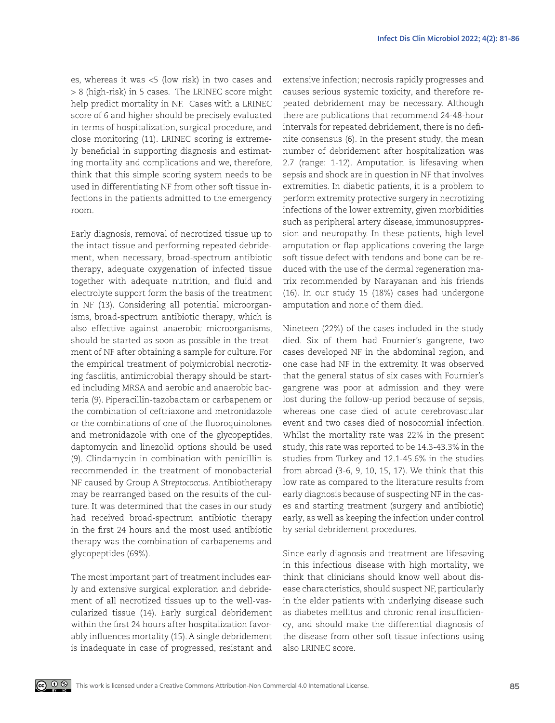es, whereas it was <5 (low risk) in two cases and > 8 (high-risk) in 5 cases. The LRINEC score might help predict mortality in NF. Cases with a LRINEC score of 6 and higher should be precisely evaluated in terms of hospitalization, surgical procedure, and close monitoring (11). LRINEC scoring is extremely beneficial in supporting diagnosis and estimating mortality and complications and we, therefore, think that this simple scoring system needs to be used in differentiating NF from other soft tissue infections in the patients admitted to the emergency room.

Early diagnosis, removal of necrotized tissue up to the intact tissue and performing repeated debridement, when necessary, broad-spectrum antibiotic therapy, adequate oxygenation of infected tissue together with adequate nutrition, and fluid and electrolyte support form the basis of the treatment in NF (13). Considering all potential microorganisms, broad-spectrum antibiotic therapy, which is also effective against anaerobic microorganisms, should be started as soon as possible in the treatment of NF after obtaining a sample for culture. For the empirical treatment of polymicrobial necrotizing fasciitis, antimicrobial therapy should be started including MRSA and aerobic and anaerobic bacteria (9). Piperacillin-tazobactam or carbapenem or the combination of ceftriaxone and metronidazole or the combinations of one of the fluoroquinolones and metronidazole with one of the glycopeptides, daptomycin and linezolid options should be used (9). Clindamycin in combination with penicillin is recommended in the treatment of monobacterial NF caused by Group A *Streptococcus.* Antibiotherapy may be rearranged based on the results of the culture. It was determined that the cases in our study had received broad-spectrum antibiotic therapy in the first 24 hours and the most used antibiotic therapy was the combination of carbapenems and glycopeptides (69%).

The most important part of treatment includes early and extensive surgical exploration and debridement of all necrotized tissues up to the well-vascularized tissue (14). Early surgical debridement within the first 24 hours after hospitalization favorably influences mortality (15). A single debridement is inadequate in case of progressed, resistant and

extensive infection; necrosis rapidly progresses and causes serious systemic toxicity, and therefore repeated debridement may be necessary. Although there are publications that recommend 24-48-hour intervals for repeated debridement, there is no definite consensus (6). In the present study, the mean number of debridement after hospitalization was 2.7 (range: 1-12). Amputation is lifesaving when sepsis and shock are in question in NF that involves extremities. In diabetic patients, it is a problem to perform extremity protective surgery in necrotizing infections of the lower extremity, given morbidities such as peripheral artery disease, immunosuppression and neuropathy. In these patients, high-level amputation or flap applications covering the large soft tissue defect with tendons and bone can be reduced with the use of the dermal regeneration matrix recommended by Narayanan and his friends (16). In our study 15 (18%) cases had undergone amputation and none of them died.

Nineteen (22%) of the cases included in the study died. Six of them had Fournier's gangrene, two cases developed NF in the abdominal region, and one case had NF in the extremity. It was observed that the general status of six cases with Fournier's gangrene was poor at admission and they were lost during the follow-up period because of sepsis, whereas one case died of acute cerebrovascular event and two cases died of nosocomial infection. Whilst the mortality rate was 22% in the present study, this rate was reported to be 14.3-43.3% in the studies from Turkey and 12.1-45.6% in the studies from abroad (3-6, 9, 10, 15, 17). We think that this low rate as compared to the literature results from early diagnosis because of suspecting NF in the cases and starting treatment (surgery and antibiotic) early, as well as keeping the infection under control by serial debridement procedures.

Since early diagnosis and treatment are lifesaving in this infectious disease with high mortality, we think that clinicians should know well about disease characteristics, should suspect NF, particularly in the elder patients with underlying disease such as diabetes mellitus and chronic renal insufficiency, and should make the differential diagnosis of the disease from other soft tissue infections using also LRINEC score.